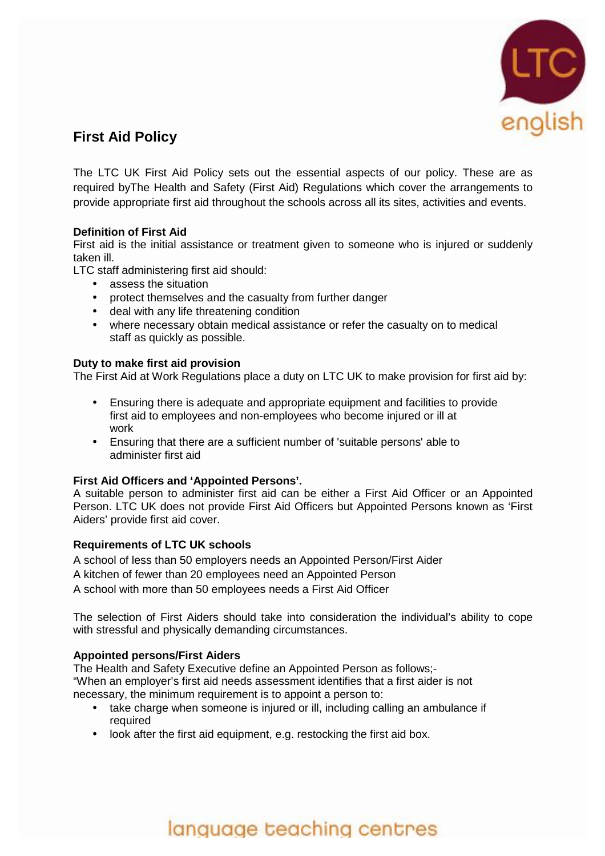

### **First Aid Policy**

The LTC UK First Aid Policy sets out the essential aspects of our policy. These are as required byThe Health and Safety (First Aid) Regulations which cover the arrangements to provide appropriate first aid throughout the schools across all its sites, activities and events.

#### **Definition of First Aid**

First aid is the initial assistance or treatment given to someone who is injured or suddenly taken ill.

LTC staff administering first aid should:

- assess the situation
- protect themselves and the casualty from further danger
- deal with any life threatening condition
- where necessary obtain medical assistance or refer the casualty on to medical staff as quickly as possible.

#### **Duty to make first aid provision**

The First Aid at Work Regulations place a duty on LTC UK to make provision for first aid by:

- Ensuring there is adequate and appropriate equipment and facilities to provide first aid to employees and non-employees who become injured or ill at work
- Ensuring that there are a sufficient number of 'suitable persons' able to administer first aid

#### **First Aid Officers and 'Appointed Persons'.**

A suitable person to administer first aid can be either a First Aid Officer or an Appointed Person. LTC UK does not provide First Aid Officers but Appointed Persons known as 'First Aiders' provide first aid cover.

#### **Requirements of LTC UK schools**

A school of less than 50 employers needs an Appointed Person/First Aider A kitchen of fewer than 20 employees need an Appointed Person A school with more than 50 employees needs a First Aid Officer

The selection of First Aiders should take into consideration the individual's ability to cope with stressful and physically demanding circumstances.

#### **Appointed persons/First Aiders**

The Health and Safety Executive define an Appointed Person as follows;- "When an employer's first aid needs assessment identifies that a first aider is not necessary, the minimum requirement is to appoint a person to:

- take charge when someone is injured or ill, including calling an ambulance if required
- look after the first aid equipment, e.g. restocking the first aid box.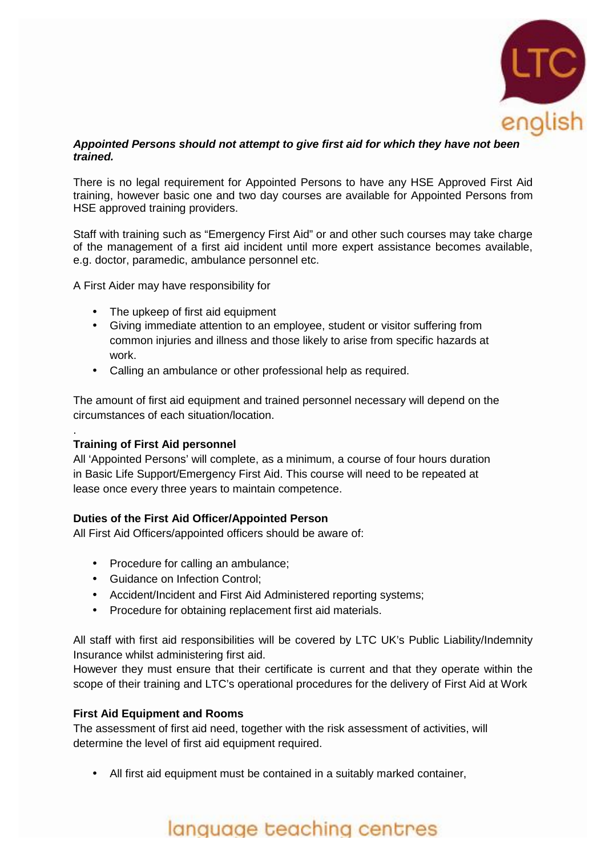

#### *Appointed Persons should not attempt to give first aid for which they have not been trained.*

There is no legal requirement for Appointed Persons to have any HSE Approved First Aid training, however basic one and two day courses are available for Appointed Persons from HSE approved training providers.

Staff with training such as "Emergency First Aid" or and other such courses may take charge of the management of a first aid incident until more expert assistance becomes available, e.g. doctor, paramedic, ambulance personnel etc.

A First Aider may have responsibility for

- The upkeep of first aid equipment
- Giving immediate attention to an employee, student or visitor suffering from common injuries and illness and those likely to arise from specific hazards at work.
- Calling an ambulance or other professional help as required.

The amount of first aid equipment and trained personnel necessary will depend on the circumstances of each situation/location.

#### **Training of First Aid personnel**

.

All 'Appointed Persons' will complete, as a minimum, a course of four hours duration in Basic Life Support/Emergency First Aid. This course will need to be repeated at lease once every three years to maintain competence.

#### **Duties of the First Aid Officer/Appointed Person**

All First Aid Officers/appointed officers should be aware of:

- Procedure for calling an ambulance;
- Guidance on Infection Control;
- Accident/Incident and First Aid Administered reporting systems;
- Procedure for obtaining replacement first aid materials.

All staff with first aid responsibilities will be covered by LTC UK's Public Liability/Indemnity Insurance whilst administering first aid.

However they must ensure that their certificate is current and that they operate within the scope of their training and LTC's operational procedures for the delivery of First Aid at Work

#### **First Aid Equipment and Rooms**

The assessment of first aid need, together with the risk assessment of activities, will determine the level of first aid equipment required.

• All first aid equipment must be contained in a suitably marked container,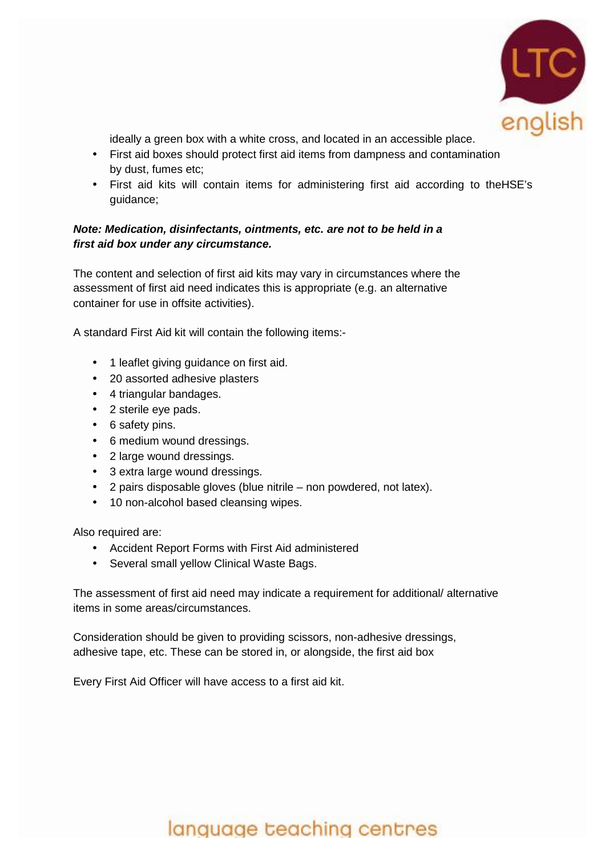

ideally a green box with a white cross, and located in an accessible place.

- First aid boxes should protect first aid items from dampness and contamination by dust, fumes etc;
- First aid kits will contain items for administering first aid according to theHSE's guidance;

#### *Note: Medication, disinfectants, ointments, etc. are not to be held in a first aid box under any circumstance.*

The content and selection of first aid kits may vary in circumstances where the assessment of first aid need indicates this is appropriate (e.g. an alternative container for use in offsite activities).

A standard First Aid kit will contain the following items:-

- 1 leaflet giving guidance on first aid.
- 20 assorted adhesive plasters
- 4 triangular bandages.
- 2 sterile eye pads.
- 6 safety pins.
- 6 medium wound dressings.
- 2 large wound dressings.
- 3 extra large wound dressings.
- 2 pairs disposable gloves (blue nitrile non powdered, not latex).
- 10 non-alcohol based cleansing wipes.

Also required are:

- Accident Report Forms with First Aid administered
- Several small yellow Clinical Waste Bags.

The assessment of first aid need may indicate a requirement for additional/ alternative items in some areas/circumstances.

Consideration should be given to providing scissors, non-adhesive dressings, adhesive tape, etc. These can be stored in, or alongside, the first aid box

Every First Aid Officer will have access to a first aid kit.